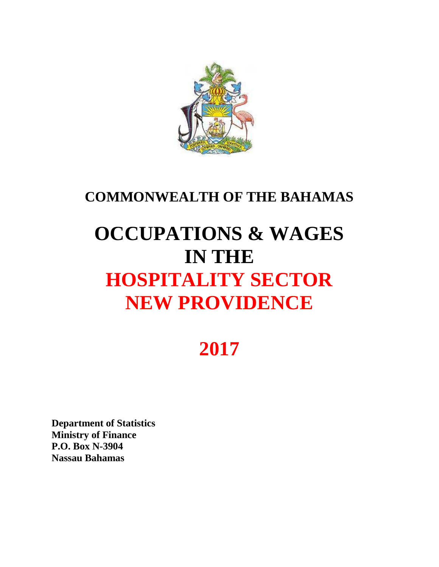

### **COMMONWEALTH OF THE BAHAMAS**

# **OCCUPATIONS & WAGES IN THE HOSPITALITY SECTOR NEW PROVIDENCE**

## **2017**

**Department of Statistics Ministry of Finance P.O. Box N-3904 Nassau Bahamas**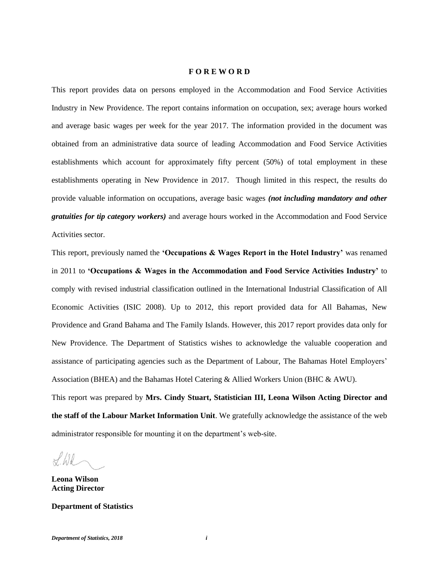#### **F O R E W O R D**

This report provides data on persons employed in the Accommodation and Food Service Activities Industry in New Providence. The report contains information on occupation, sex; average hours worked and average basic wages per week for the year 2017. The information provided in the document was obtained from an administrative data source of leading Accommodation and Food Service Activities establishments which account for approximately fifty percent (50%) of total employment in these establishments operating in New Providence in 2017. Though limited in this respect, the results do provide valuable information on occupations, average basic wages *(not including mandatory and other gratuities for tip category workers)* and average hours worked in the Accommodation and Food Service Activities sector.

This report, previously named the **'Occupations & Wages Report in the Hotel Industry'** was renamed in 2011 to **'Occupations & Wages in the Accommodation and Food Service Activities Industry'** to comply with revised industrial classification outlined in the International Industrial Classification of All Economic Activities (ISIC 2008). Up to 2012, this report provided data for All Bahamas, New Providence and Grand Bahama and The Family Islands. However, this 2017 report provides data only for New Providence. The Department of Statistics wishes to acknowledge the valuable cooperation and assistance of participating agencies such as the Department of Labour, The Bahamas Hotel Employers' Association (BHEA) and the Bahamas Hotel Catering & Allied Workers Union (BHC & AWU). This report was prepared by **Mrs. Cindy Stuart, Statistician III, Leona Wilson Acting Director and the staff of the Labour Market Information Unit**. We gratefully acknowledge the assistance of the web

administrator responsible for mounting it on the department's web-site.

 $H/d$ 

**Leona Wilson Acting Director**

**Department of Statistics**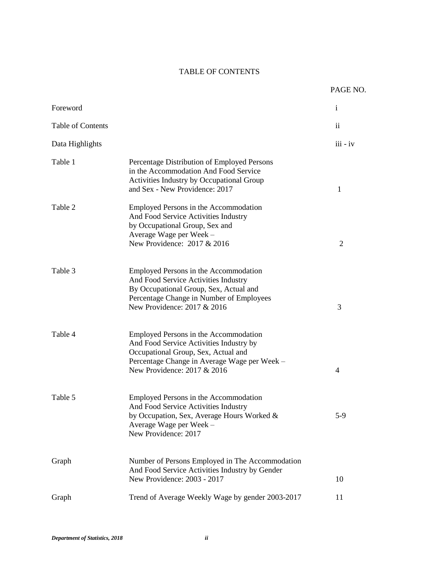#### TABLE OF CONTENTS

|                   |                                                                                                                                                                                                        | PAGE NO.      |
|-------------------|--------------------------------------------------------------------------------------------------------------------------------------------------------------------------------------------------------|---------------|
| Foreword          |                                                                                                                                                                                                        | $\mathbf{i}$  |
| Table of Contents |                                                                                                                                                                                                        | $\mathbf{ii}$ |
| Data Highlights   |                                                                                                                                                                                                        | $iii - iv$    |
| Table 1           | Percentage Distribution of Employed Persons<br>in the Accommodation And Food Service<br>Activities Industry by Occupational Group<br>and Sex - New Providence: 2017                                    | 1             |
| Table 2           | Employed Persons in the Accommodation<br>And Food Service Activities Industry<br>by Occupational Group, Sex and<br>Average Wage per Week -<br>New Providence: 2017 & 2016                              | 2             |
| Table 3           | Employed Persons in the Accommodation<br>And Food Service Activities Industry<br>By Occupational Group, Sex, Actual and<br>Percentage Change in Number of Employees<br>New Providence: 2017 & 2016     | 3             |
| Table 4           | Employed Persons in the Accommodation<br>And Food Service Activities Industry by<br>Occupational Group, Sex, Actual and<br>Percentage Change in Average Wage per Week -<br>New Providence: 2017 & 2016 | 4             |
| Table 5           | Employed Persons in the Accommodation<br>And Food Service Activities Industry<br>by Occupation, Sex, Average Hours Worked &<br>Average Wage per Week -<br>New Providence: 2017                         | $5-9$         |
| Graph             | Number of Persons Employed in The Accommodation<br>And Food Service Activities Industry by Gender<br>New Providence: 2003 - 2017                                                                       | 10            |
| Graph             | Trend of Average Weekly Wage by gender 2003-2017                                                                                                                                                       | 11            |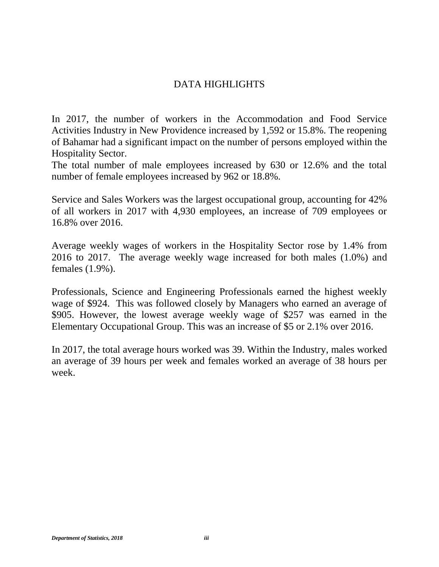#### DATA HIGHLIGHTS

In 2017, the number of workers in the Accommodation and Food Service Activities Industry in New Providence increased by 1,592 or 15.8%. The reopening of Bahamar had a significant impact on the number of persons employed within the Hospitality Sector.

The total number of male employees increased by 630 or 12.6% and the total number of female employees increased by 962 or 18.8%.

Service and Sales Workers was the largest occupational group, accounting for 42% of all workers in 2017 with 4,930 employees, an increase of 709 employees or 16.8% over 2016.

Average weekly wages of workers in the Hospitality Sector rose by 1.4% from 2016 to 2017. The average weekly wage increased for both males (1.0%) and females (1.9%).

Professionals, Science and Engineering Professionals earned the highest weekly wage of \$924. This was followed closely by Managers who earned an average of \$905. However, the lowest average weekly wage of \$257 was earned in the Elementary Occupational Group. This was an increase of \$5 or 2.1% over 2016.

In 2017, the total average hours worked was 39. Within the Industry, males worked an average of 39 hours per week and females worked an average of 38 hours per week.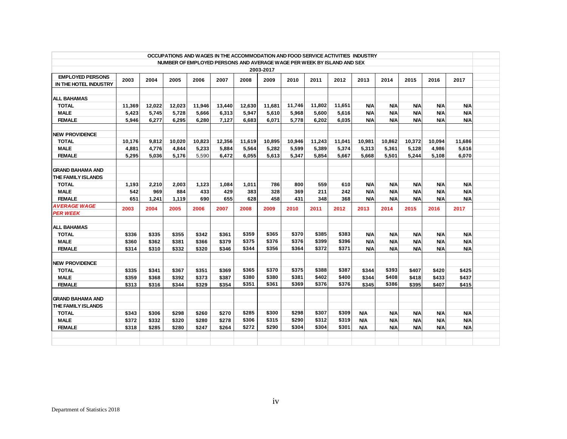| OCCUPATIONS AND WAGES IN THE ACCOMMODATION AND FOOD SERVICE ACTIVITIES INDUSTRY |        |        |        |        |        |        |        |        |        |        |            |            |            |            |            |  |
|---------------------------------------------------------------------------------|--------|--------|--------|--------|--------|--------|--------|--------|--------|--------|------------|------------|------------|------------|------------|--|
| NUMBER OF EMPLOYED PERSONS AND AVERAGE WAGE PER WEEK BY ISLAND AND SEX          |        |        |        |        |        |        |        |        |        |        |            |            |            |            |            |  |
| 2003-2017                                                                       |        |        |        |        |        |        |        |        |        |        |            |            |            |            |            |  |
| <b>EMPLOYED PERSONS</b>                                                         | 2003   | 2004   | 2005   | 2006   | 2007   | 2008   | 2009   | 2010   | 2011   | 2012   | 2013       | 2014       | 2015       | 2016       | 2017       |  |
| IN THE HOTEL INDUSTRY                                                           |        |        |        |        |        |        |        |        |        |        |            |            |            |            |            |  |
|                                                                                 |        |        |        |        |        |        |        |        |        |        |            |            |            |            |            |  |
| <b>ALL BAHAMAS</b>                                                              |        |        |        |        |        |        |        |        |        |        |            |            |            |            |            |  |
| <b>TOTAL</b>                                                                    | 11,369 | 12,022 | 12,023 | 11,946 | 13,440 | 12,630 | 11.681 | 11,746 | 11,802 | 11.651 | <b>N/A</b> | <b>N/A</b> | <b>N/A</b> | <b>N/A</b> | N/A        |  |
| <b>MALE</b>                                                                     | 5,423  | 5,745  | 5,728  | 5,666  | 6,313  | 5,947  | 5,610  | 5,968  | 5,600  | 5,616  | <b>N/A</b> | <b>N/A</b> | <b>N/A</b> | <b>N/A</b> | <b>N/A</b> |  |
| <b>FEMALE</b>                                                                   | 5.946  | 6.277  | 6.295  | 6,280  | 7,127  | 6.683  | 6.071  | 5,778  | 6.202  | 6.035  | <b>N/A</b> | <b>N/A</b> | <b>N/A</b> | <b>N/A</b> | <b>N/A</b> |  |
|                                                                                 |        |        |        |        |        |        |        |        |        |        |            |            |            |            |            |  |
| <b>NEW PROVIDENCE</b>                                                           |        |        |        |        |        |        |        |        |        |        |            |            |            |            |            |  |
| <b>TOTAL</b><br><b>MALE</b>                                                     | 10,176 | 9.812  | 10.020 | 10,823 | 12,356 | 11.619 | 10.895 | 10.946 | 11.243 | 11,041 | 10.981     | 10.862     | 10.372     | 10.094     | 11.686     |  |
|                                                                                 | 4,881  | 4,776  | 4,844  | 5,233  | 5,884  | 5,564  | 5,282  | 5,599  | 5,389  | 5,374  | 5,313      | 5,361      | 5,128      | 4,986      | 5,616      |  |
| <b>FEMALE</b>                                                                   | 5.295  | 5.036  | 5.176  | 5.590  | 6,472  | 6.055  | 5.613  | 5.347  | 5.854  | 5.667  | 5,668      | 5.501      | 5.244      | 5.108      | 6,070      |  |
| <b>GRAND BAHAMA AND</b>                                                         |        |        |        |        |        |        |        |        |        |        |            |            |            |            |            |  |
| THE FAMILY ISLANDS                                                              |        |        |        |        |        |        |        |        |        |        |            |            |            |            |            |  |
| <b>TOTAL</b>                                                                    | 1,193  | 2,210  | 2,003  | 1,123  | 1.084  | 1.011  | 786    | 800    | 559    | 610    | <b>N/A</b> | <b>N/A</b> | <b>N/A</b> | <b>N/A</b> | <b>N/A</b> |  |
| <b>MALE</b>                                                                     | 542    | 969    | 884    | 433    | 429    | 383    | 328    | 369    | 211    | 242    | <b>N/A</b> | <b>N/A</b> | <b>N/A</b> | N/A        | <b>N/A</b> |  |
| <b>FEMALE</b>                                                                   | 651    | 1.241  | 1,119  | 690    | 655    | 628    | 458    | 431    | 348    | 368    | <b>N/A</b> | <b>N/A</b> | <b>N/A</b> | <b>N/A</b> | <b>N/A</b> |  |
| AVERAGE WAGE                                                                    |        |        |        |        |        |        |        |        |        |        |            |            |            |            |            |  |
| <b>PER WEEK</b>                                                                 | 2003   | 2004   | 2005   | 2006   | 2007   | 2008   | 2009   | 2010   | 2011   | 2012   | 2013       | 2014       | 2015       | 2016       | 2017       |  |
|                                                                                 |        |        |        |        |        |        |        |        |        |        |            |            |            |            |            |  |
| <b>ALL BAHAMAS</b>                                                              |        |        |        |        |        |        |        |        |        |        |            |            |            |            |            |  |
| <b>TOTAL</b>                                                                    | \$336  | \$335  | \$355  | \$342  | \$361  | \$359  | \$365  | \$370  | \$385  | \$383  | <b>N/A</b> | <b>N/A</b> | <b>N/A</b> | <b>N/A</b> | <b>N/A</b> |  |
| <b>MALE</b>                                                                     | \$360  | \$362  | \$381  | \$366  | \$379  | \$375  | \$376  | \$376  | \$399  | \$396  | <b>N/A</b> | <b>N/A</b> | <b>N/A</b> | <b>N/A</b> | <b>N/A</b> |  |
| <b>FEMALE</b>                                                                   | \$314  | \$310  | \$332  | \$320  | \$346  | \$344  | \$356  | \$364  | \$372  | \$371  | <b>N/A</b> | <b>N/A</b> | <b>N/A</b> | <b>N/A</b> | <b>N/A</b> |  |
|                                                                                 |        |        |        |        |        |        |        |        |        |        |            |            |            |            |            |  |
| <b>NEW PROVIDENCE</b>                                                           |        |        |        |        |        |        |        |        |        |        |            |            |            |            |            |  |
| <b>TOTAL</b>                                                                    | \$335  | \$341  | \$367  | \$351  | \$369  | \$365  | \$370  | \$375  | \$388  | \$387  | \$344      | \$393      | \$407      | \$420      | \$425      |  |
| <b>MALE</b>                                                                     | \$359  | \$368  | \$392  | \$373  | \$387  | \$380  | \$380  | \$381  | \$402  | \$400  | \$344      | \$408      | \$418      | \$433      | \$437      |  |
| <b>FEMALE</b>                                                                   | \$313  | \$316  | \$344  | \$329  | \$354  | \$351  | \$361  | \$369  | \$376  | \$376  | \$345      | \$386      | \$395      | \$407      | \$415      |  |
|                                                                                 |        |        |        |        |        |        |        |        |        |        |            |            |            |            |            |  |
| <b>GRAND BAHAMA AND</b>                                                         |        |        |        |        |        |        |        |        |        |        |            |            |            |            |            |  |
| THE FAMILY ISLANDS                                                              |        |        |        |        |        |        |        |        |        |        |            |            |            |            |            |  |
| <b>TOTAL</b>                                                                    | \$343  | \$306  | \$298  | \$260  | \$270  | \$285  | \$300  | \$298  | \$307  | \$309  | <b>N/A</b> | <b>N/A</b> | <b>N/A</b> | <b>N/A</b> | <b>N/A</b> |  |
| <b>MALE</b>                                                                     | \$372  | \$332  | \$320  | \$280  | \$278  | \$306  | \$315  | \$290  | \$312  | \$319  | N/A        | <b>N/A</b> | <b>N/A</b> | N/A        | <b>N/A</b> |  |
| <b>FEMALE</b>                                                                   | \$318  | \$285  | \$280  | \$247  | \$264  | \$272  | \$290  | \$304  | \$304  | \$301  | <b>N/A</b> | <b>N/A</b> | <b>N/A</b> | <b>N/A</b> | <b>N/A</b> |  |
|                                                                                 |        |        |        |        |        |        |        |        |        |        |            |            |            |            |            |  |
|                                                                                 |        |        |        |        |        |        |        |        |        |        |            |            |            |            |            |  |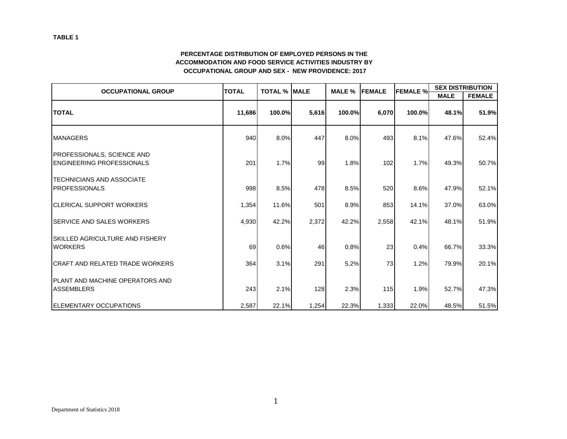#### **PERCENTAGE DISTRIBUTION OF EMPLOYED PERSONS IN THE ACCOMMODATION AND FOOD SERVICE ACTIVITIES INDUSTRY BY OCCUPATIONAL GROUP AND SEX - NEW PROVIDENCE: 2017**

| <b>OCCUPATIONAL GROUP</b>                                              | <b>TOTAL</b> | <b>TOTAL % MALE</b> |       | MALE % | <b>FEMALE</b> | <b>FEMALE %</b> |             | <b>SEX DISTRIBUTION</b> |  |  |
|------------------------------------------------------------------------|--------------|---------------------|-------|--------|---------------|-----------------|-------------|-------------------------|--|--|
|                                                                        |              |                     |       |        |               |                 | <b>MALE</b> | <b>FEMALE</b>           |  |  |
| <b>TOTAL</b>                                                           | 11,686       | 100.0%              | 5,616 | 100.0% | 6,070         | 100.0%          | 48.1%       | 51.9%                   |  |  |
| <b>MANAGERS</b>                                                        | 940          | 8.0%                | 447   | 8.0%   | 493           | 8.1%            | 47.6%       | 52.4%                   |  |  |
| <b>PROFESSIONALS, SCIENCE AND</b><br><b>IENGINEERING PROFESSIONALS</b> | 201          | 1.7%                | 99    | 1.8%   | 102           | 1.7%            | 49.3%       | 50.7%                   |  |  |
| <b>ITECHNICIANS AND ASSOCIATE</b><br><b>IPROFESSIONALS</b>             | 998          | 8.5%                | 478   | 8.5%   | 520           | 8.6%            | 47.9%       | 52.1%                   |  |  |
| <b>ICLERICAL SUPPORT WORKERS</b>                                       | 1,354        | 11.6%               | 501   | 8.9%   | 853           | 14.1%           | 37.0%       | 63.0%                   |  |  |
| <b>ISERVICE AND SALES WORKERS</b>                                      | 4,930        | 42.2%               | 2,372 | 42.2%  | 2,558         | 42.1%           | 48.1%       | 51.9%                   |  |  |
| <b>ISKILLED AGRICULTURE AND FISHERY</b><br><b>WORKERS</b>              | 69           | 0.6%                | 46    | 0.8%   | 23            | 0.4%            | 66.7%       | 33.3%                   |  |  |
| <b>CRAFT AND RELATED TRADE WORKERS</b>                                 | 364          | 3.1%                | 291   | 5.2%   | 73            | 1.2%            | 79.9%       | 20.1%                   |  |  |
| <b>IPLANT AND MACHINE OPERATORS AND</b><br><b>ASSEMBLERS</b>           | 243          | 2.1%                | 128   | 2.3%   | 115           | 1.9%            | 52.7%       | 47.3%                   |  |  |
| <b>ELEMENTARY OCCUPATIONS</b>                                          | 2,587        | 22.1%               | 1,254 | 22.3%  | 1,333         | 22.0%           | 48.5%       | 51.5%                   |  |  |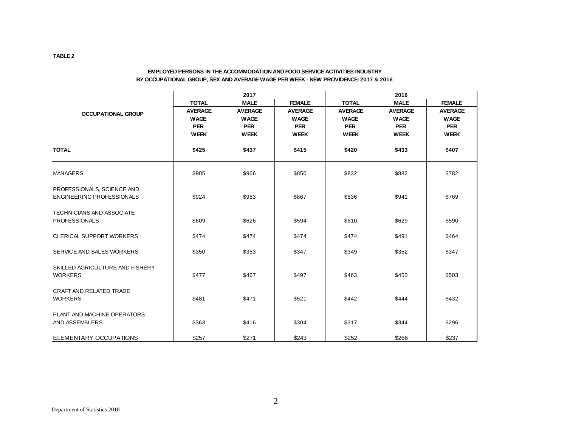#### **EMPLOYED PERSONS IN THE ACCOMMODATION AND FOOD SERVICE ACTIVITIES INDUSTRY BY OCCUPATIONAL GROUP, SEX AND AVERAGE WAGE PER WEEK - NEW PROVIDENCE: 2017 & 2016**

|                                                             |                | 2017           |                | 2016           |                |                |  |  |  |
|-------------------------------------------------------------|----------------|----------------|----------------|----------------|----------------|----------------|--|--|--|
|                                                             | <b>TOTAL</b>   | <b>MALE</b>    | <b>FEMALE</b>  | <b>TOTAL</b>   | <b>MALE</b>    | <b>FEMALE</b>  |  |  |  |
| <b>OCCUPATIONAL GROUP</b>                                   | <b>AVERAGE</b> | <b>AVERAGE</b> | <b>AVERAGE</b> | <b>AVERAGE</b> | <b>AVERAGE</b> | <b>AVERAGE</b> |  |  |  |
|                                                             | <b>WAGE</b>    | <b>WAGE</b>    | <b>WAGE</b>    | <b>WAGE</b>    | <b>WAGE</b>    | <b>WAGE</b>    |  |  |  |
|                                                             | <b>PER</b>     | <b>PER</b>     | <b>PER</b>     | <b>PER</b>     | <b>PER</b>     | <b>PER</b>     |  |  |  |
|                                                             | <b>WEEK</b>    | <b>WEEK</b>    | <b>WEEK</b>    | <b>WEEK</b>    | <b>WEEK</b>    | <b>WEEK</b>    |  |  |  |
| <b>TOTAL</b>                                                | \$425          | \$437          | \$415          | \$420          | \$433          | \$407          |  |  |  |
| <b>MANAGERS</b>                                             | \$905          | \$966          | \$850          | \$832          | \$882          | \$782          |  |  |  |
| <b>PROFESSIONALS, SCIENCE AND</b>                           |                |                |                |                |                |                |  |  |  |
| <b>IENGINEERING PROFESSIONALS</b>                           | \$924          | \$983          | \$867          | \$836          | \$941          | \$769          |  |  |  |
| <b>ITECHNICIANS AND ASSOCIATE</b>                           |                |                |                |                |                |                |  |  |  |
| PROFESSIONALS                                               | \$609          | \$626          | \$594          | \$610          | \$629          | \$590          |  |  |  |
| <b>ICLERICAL SUPPORT WORKERS</b>                            | \$474          | \$474          | \$474          | \$474          | \$491          | \$464          |  |  |  |
| <b>ISERVICE AND SALES WORKERS</b>                           | \$350          | \$353          | \$347          | \$349          | \$352          | \$347          |  |  |  |
| SKILLED AGRICULTURE AND FISHERY<br><b>WORKERS</b>           | \$477          | \$467          | \$497          | \$463          | \$450          | \$503          |  |  |  |
| <b>CRAFT AND RELATED TRADE</b><br><b>WORKERS</b>            | \$481          | \$471          | \$521          | \$442          | \$444          | \$432          |  |  |  |
| <b>PLANT AND MACHINE OPERATORS</b><br><b>AND ASSEMBLERS</b> | \$363          | \$416          | \$304          | \$317          | \$344          | \$296          |  |  |  |
| <b>ELEMENTARY OCCUPATIONS</b>                               | \$257          | \$271          | \$243          | \$252          | \$266          | \$237          |  |  |  |

**TABLE 2**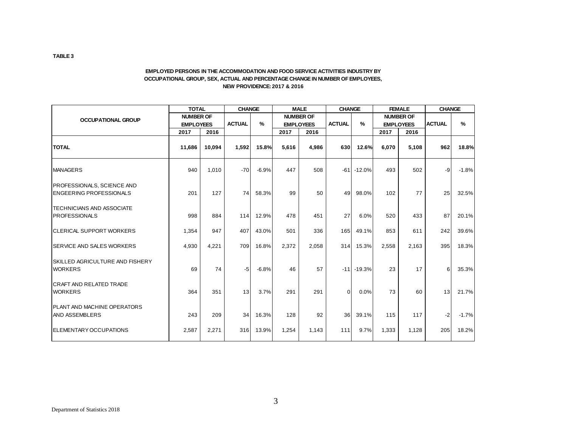#### **EMPLOYED PERSONS IN THE ACCOMMODATION AND FOOD SERVICE ACTIVITIES INDUSTRY BY OCCUPATIONAL GROUP, SEX, ACTUAL AND PERCENTAGE CHANGE IN NUMBER OF EMPLOYEES, NEW PROVIDENCE: 2017 & 2016**

|                                                                     | <b>TOTAL</b>     |        | <b>CHANGE</b> |         |                  | <b>MALE</b>      |                 | <b>CHANGE</b>  | <b>FEMALE</b> |                  | <b>CHANGE</b> |         |
|---------------------------------------------------------------------|------------------|--------|---------------|---------|------------------|------------------|-----------------|----------------|---------------|------------------|---------------|---------|
| <b>OCCUPATIONAL GROUP</b>                                           | <b>NUMBER OF</b> |        |               |         |                  | <b>NUMBER OF</b> |                 |                |               | <b>NUMBER OF</b> |               |         |
|                                                                     | <b>EMPLOYEES</b> |        | <b>ACTUAL</b> | %       | <b>EMPLOYEES</b> |                  | <b>ACTUAL</b>   | $\frac{9}{6}$  |               | <b>EMPLOYEES</b> | <b>ACTUAL</b> | $\%$    |
|                                                                     | 2017             | 2016   |               |         | 2017             | 2016             |                 |                | 2017          | 2016             |               |         |
| <b>TOTAL</b>                                                        | 11,686           | 10,094 | 1,592         | 15.8%   | 5,616            | 4,986            | 630             | 12.6%          | 6,070         | 5,108            | 962           | 18.8%   |
| <b>MANAGERS</b>                                                     | 940              | 1,010  | $-70$         | $-6.9%$ | 447              | 508              | $-61$           | $-12.0%$       | 493           | 502              | -9            | $-1.8%$ |
| <b>PROFESSIONALS, SCIENCE AND</b><br><b>ENGEERING PROFESSIONALS</b> | 201              | 127    | 74            | 58.3%   | 99               | 50               | 49              | 98.0%          | 102           | 77               | 25            | 32.5%   |
| <b>TECHNICIANS AND ASSOCIATE</b><br><b>IPROFESSIONALS</b>           | 998              | 884    | 114           | 12.9%   | 478              | 451              | 27              | 6.0%           | 520           | 433              | 87            | 20.1%   |
| <b>CLERICAL SUPPORT WORKERS</b>                                     | 1,354            | 947    | 407           | 43.0%   | 501              | 336              | 165             | 49.1%          | 853           | 611              | 242           | 39.6%   |
| <b>SERVICE AND SALES WORKERS</b>                                    | 4,930            | 4,221  | 709           | 16.8%   | 2,372            | 2,058            | 314             | 15.3%          | 2,558         | 2,163            | 395           | 18.3%   |
| <b>ISKILLED AGRICULTURE AND FISHERY</b><br><b>WORKERS</b>           | 69               | 74     | $-5$          | $-6.8%$ | 46               | 57               |                 | $-11$ $-19.3%$ | 23            | 17               | 6             | 35.3%   |
| <b>CRAFT AND RELATED TRADE</b><br><b>WORKERS</b>                    | 364              | 351    | 13            | 3.7%    | 291              | 291              | $\Omega$        | $0.0\%$        | 73            | 60               | 13            | 21.7%   |
| <b>IPLANT AND MACHINE OPERATORS</b><br><b>AND ASSEMBLERS</b>        | 243              | 209    | 34            | 16.3%   | 128              | 92               | 36 <sup>1</sup> | 39.1%          | 115           | 117              | $-2$          | $-1.7%$ |
| <b>IELEMENTARY OCCUPATIONS</b>                                      | 2,587            | 2,271  | 316           | 13.9%   | 1,254            | 1.143            | 111             | 9.7%           | 1,333         | 1,128            | 205           | 18.2%   |

**TABLE 3**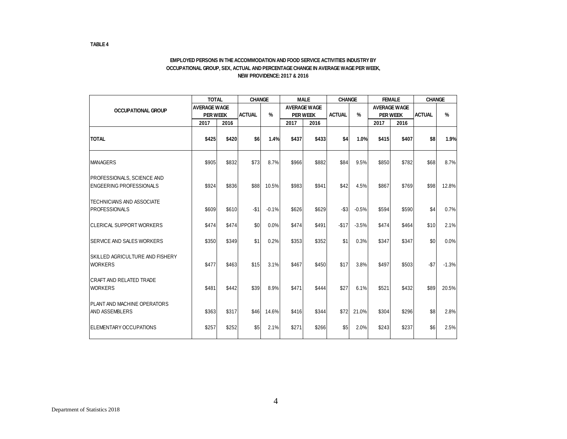#### **EMPLOYED PERSONS IN THE ACCOMMODATION AND FOOD SERVICE ACTIVITIES INDUSTRY BY OCCUPATIONAL GROUP, SEX, ACTUAL AND PERCENTAGE CHANGE IN AVERAGE WAGE PER WEEK, NEW PROVIDENCE: 2017 & 2016**

|                                                                     | <b>TOTAL</b>        |       | <b>CHANGE</b>                  |         |                 | <b>MALE</b>         | <b>CHANGE</b> |         | <b>FEMALE</b>   |                     | <b>CHANGE</b> |               |
|---------------------------------------------------------------------|---------------------|-------|--------------------------------|---------|-----------------|---------------------|---------------|---------|-----------------|---------------------|---------------|---------------|
| <b>OCCUPATIONAL GROUP</b>                                           | <b>AVERAGE WAGE</b> |       |                                |         |                 | <b>AVERAGE WAGE</b> |               |         |                 | <b>AVERAGE WAGE</b> |               |               |
|                                                                     | <b>PER WEEK</b>     |       | $\frac{9}{6}$<br><b>ACTUAL</b> |         | <b>PER WEEK</b> |                     | <b>ACTUAL</b> | $\%$    | <b>PER WEEK</b> |                     | <b>ACTUAL</b> | $\frac{9}{6}$ |
|                                                                     | 2017<br>2016        |       |                                |         | 2017            | 2016                |               |         | 2017            | 2016                |               |               |
| <b>TOTAL</b>                                                        | \$425               | \$420 | \$6                            | 1.4%    | \$437           | \$433               | \$4           | 1.0%    | \$415           | \$407               | \$8           | 1.9%          |
| <b>MANAGERS</b>                                                     | \$905               | \$832 | \$73                           | 8.7%    | \$966           | \$882               | \$84          | 9.5%    | \$850           | \$782               | \$68          | 8.7%          |
| <b>PROFESSIONALS, SCIENCE AND</b><br><b>ENGEERING PROFESSIONALS</b> | \$924               | \$836 | \$88                           | 10.5%   | \$983           | \$941               | \$42          | 4.5%    | \$867           | \$769               | \$98          | 12.8%         |
| <b>TECHNICIANS AND ASSOCIATE</b><br><b>PROFESSIONALS</b>            | \$609               | \$610 | $-$1$                          | $-0.1%$ | \$626           | \$629               | $-$ \$3       | $-0.5%$ | \$594           | \$590               | \$4           | 0.7%          |
| <b>ICLERICAL SUPPORT WORKERS</b>                                    | \$474               | \$474 | \$0                            | 0.0%    | \$474           | \$491               | $-$17$        | $-3.5%$ | \$474           | \$464               | \$10          | 2.1%          |
| <b>ISERVICE AND SALES WORKERS</b>                                   | \$350               | \$349 | \$1                            | 0.2%    | \$353           | \$352               | \$1           | 0.3%    | \$347           | \$347               | \$0           | 0.0%          |
| <b>SKILLED AGRICULTURE AND FISHERY</b><br><b>WORKERS</b>            | \$477               | \$463 | \$15                           | 3.1%    | \$467           | \$450               | \$17          | 3.8%    | \$497           | \$503               | $-\$7$        | $-1.3%$       |
| <b>ICRAFT AND RELATED TRADE</b><br><b>WORKERS</b>                   | \$481               | \$442 | \$39                           | 8.9%    | \$471           | \$444               | \$27          | 6.1%    | \$521           | \$432               | \$89          | 20.5%         |
| <b>PLANT AND MACHINE OPERATORS</b><br><b>AND ASSEMBLERS</b>         | \$363               | \$317 | \$46                           | 14.6%   | \$416           | \$344               | \$72          | 21.0%   | \$304           | \$296               | \$8           | 2.8%          |
| <b>IELEMENTARY OCCUPATIONS</b>                                      | \$257               | \$252 | \$5                            | 2.1%    | \$271           | \$266               | \$5           | 2.0%    | \$243           | \$237               | \$6           | 2.5%          |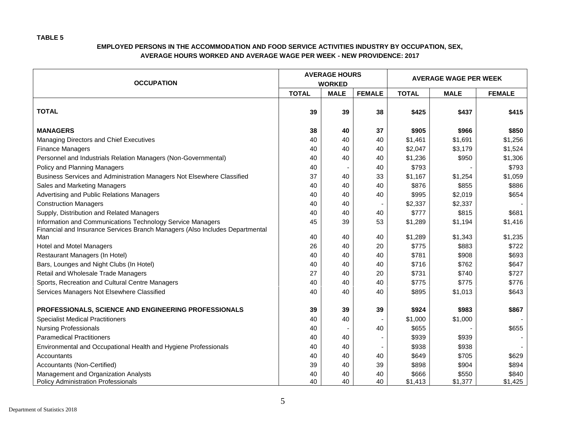| <b>OCCUPATION</b>                                                                                                                          |              | <b>AVERAGE HOURS</b><br><b>WORKED</b> |               | <b>AVERAGE WAGE PER WEEK</b> |                  |                  |  |
|--------------------------------------------------------------------------------------------------------------------------------------------|--------------|---------------------------------------|---------------|------------------------------|------------------|------------------|--|
|                                                                                                                                            | <b>TOTAL</b> | <b>MALE</b>                           | <b>FEMALE</b> | <b>TOTAL</b>                 | <b>MALE</b>      | <b>FEMALE</b>    |  |
| <b>TOTAL</b>                                                                                                                               | 39           | 39                                    | 38            | \$425                        | \$437            | \$415            |  |
| <b>MANAGERS</b>                                                                                                                            | 38           | 40                                    | 37            | \$905                        | \$966            | \$850            |  |
| Managing Directors and Chief Executives                                                                                                    | 40           | 40                                    | 40            | \$1,461                      | \$1,691          | \$1,256          |  |
| <b>Finance Managers</b>                                                                                                                    | 40           | 40                                    | 40            | \$2,047                      | \$3,179          | \$1,524          |  |
| Personnel and Industrials Relation Managers (Non-Governmental)                                                                             | 40           | 40                                    | 40            | \$1,236                      | \$950            | \$1,306          |  |
| Policy and Planning Managers                                                                                                               | 40           |                                       | 40            | \$793                        |                  | \$793            |  |
| Business Services and Administration Managers Not Elsewhere Classified                                                                     | 37           | 40                                    | 33            | \$1,167                      | \$1,254          | \$1,059          |  |
| Sales and Marketing Managers                                                                                                               | 40           | 40                                    | 40            | \$876                        | \$855            | \$886            |  |
| Advertising and Public Relations Managers                                                                                                  | 40           | 40                                    | 40            | \$995                        | \$2,019          | \$654            |  |
| <b>Construction Managers</b>                                                                                                               | 40           | 40                                    |               | \$2,337                      | \$2,337          |                  |  |
| Supply, Distribution and Related Managers                                                                                                  | 40           | 40                                    | 40            | \$777                        | \$815            | \$681            |  |
| Information and Communications Technology Service Managers<br>Financial and Insurance Services Branch Managers (Also Includes Departmental | 45           | 39                                    | 53            | \$1,289                      | \$1,194          | \$1,416          |  |
| Man                                                                                                                                        | 40           | 40                                    | 40            | \$1,289                      | \$1,343          | \$1,235          |  |
| <b>Hotel and Motel Managers</b>                                                                                                            | 26           | 40                                    | 20            | \$775                        | \$883            | \$722            |  |
| Restaurant Managers (In Hotel)                                                                                                             | 40           | 40                                    | 40            | \$781                        | \$908            | \$693            |  |
| Bars, Lounges and Night Clubs (In Hotel)                                                                                                   | 40           | 40                                    | 40            | \$716                        | \$762            | \$647            |  |
| Retail and Wholesale Trade Managers                                                                                                        | 27           | 40                                    | 20            | \$731                        | \$740            | \$727            |  |
| Sports, Recreation and Cultural Centre Managers                                                                                            | 40           | 40                                    | 40            | \$775                        | \$775            | \$776            |  |
| Services Managers Not Elsewhere Classified                                                                                                 | 40           | 40                                    | 40            | \$895                        | \$1,013          | \$643            |  |
| PROFESSIONALS, SCIENCE AND ENGINEERING PROFESSIONALS                                                                                       | 39           | 39                                    | 39            | \$924                        | \$983            | \$867            |  |
| <b>Specialist Medical Practitioners</b>                                                                                                    | 40           | 40                                    |               | \$1,000                      | \$1,000          |                  |  |
| <b>Nursing Professionals</b>                                                                                                               | 40           |                                       | 40            | \$655                        |                  | \$655            |  |
| <b>Paramedical Practitioners</b>                                                                                                           | 40           | 40                                    |               | \$939                        | \$939            |                  |  |
| Environmental and Occupational Health and Hygiene Professionals                                                                            | 40           | 40                                    |               | \$938                        | \$938            |                  |  |
| Accountants                                                                                                                                | 40           | 40                                    | 40            | \$649                        | \$705            | \$629            |  |
| Accountants (Non-Certified)                                                                                                                | 39           | 40                                    | 39            | \$898                        | \$904            | \$894            |  |
| Management and Organization Analysts<br><b>Policy Administration Professionals</b>                                                         | 40<br>40     | 40<br>40                              | 40<br>40      | \$666<br>\$1,413             | \$550<br>\$1,377 | \$840<br>\$1,425 |  |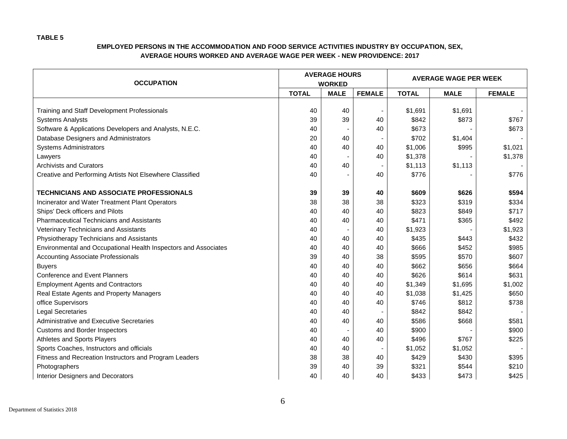| <b>OCCUPATION</b>                                               |              | <b>AVERAGE HOURS</b><br><b>WORKED</b> |                          | <b>AVERAGE WAGE PER WEEK</b> |             |               |  |
|-----------------------------------------------------------------|--------------|---------------------------------------|--------------------------|------------------------------|-------------|---------------|--|
|                                                                 | <b>TOTAL</b> | <b>MALE</b>                           | <b>FEMALE</b>            | <b>TOTAL</b>                 | <b>MALE</b> | <b>FEMALE</b> |  |
|                                                                 |              |                                       |                          |                              |             |               |  |
| Training and Staff Development Professionals                    | 40           | 40                                    | $\overline{\phantom{a}}$ | \$1,691                      | \$1,691     |               |  |
| <b>Systems Analysts</b>                                         | 39           | 39                                    | 40                       | \$842                        | \$873       | \$767         |  |
| Software & Applications Developers and Analysts, N.E.C.         | 40           |                                       | 40                       | \$673                        |             | \$673         |  |
| Database Designers and Administrators                           | 20           | 40                                    |                          | \$702                        | \$1,404     |               |  |
| <b>Systems Administrators</b>                                   | 40           | 40                                    | 40                       | \$1,006                      | \$995       | \$1,021       |  |
| Lawyers                                                         | 40           |                                       | 40                       | \$1,378                      |             | \$1,378       |  |
| <b>Archivists and Curators</b>                                  | 40           | 40                                    |                          | \$1,113                      | \$1,113     |               |  |
| Creative and Performing Artists Not Elsewhere Classified        | 40           |                                       | 40                       | \$776                        |             | \$776         |  |
|                                                                 |              |                                       |                          |                              |             |               |  |
| <b>TECHNICIANS AND ASSOCIATE PROFESSIONALS</b>                  | 39           | 39                                    | 40                       | \$609                        | \$626       | \$594         |  |
| Incinerator and Water Treatment Plant Operators                 | 38           | 38                                    | 38                       | \$323                        | \$319       | \$334         |  |
| Ships' Deck officers and Pilots                                 | 40           | 40                                    | 40                       | \$823                        | \$849       | \$717         |  |
| <b>Pharmaceutical Technicians and Assistants</b>                | 40           | 40                                    | 40                       | \$471                        | \$365       | \$492         |  |
| <b>Veterinary Technicians and Assistants</b>                    | 40           |                                       | 40                       | \$1,923                      |             | \$1,923       |  |
| Physiotherapy Technicians and Assistants                        | 40           | 40                                    | 40                       | \$435                        | \$443       | \$432         |  |
| Environmental and Occupational Health Inspectors and Associates | 40           | 40                                    | 40                       | \$666                        | \$452       | \$985         |  |
| <b>Accounting Associate Professionals</b>                       | 39           | 40                                    | 38                       | \$595                        | \$570       | \$607         |  |
| <b>Buyers</b>                                                   | 40           | 40                                    | 40                       | \$662                        | \$656       | \$664         |  |
| <b>Conference and Event Planners</b>                            | 40           | 40                                    | 40                       | \$626                        | \$614       | \$631         |  |
| <b>Employment Agents and Contractors</b>                        | 40           | 40                                    | 40                       | \$1,349                      | \$1,695     | \$1,002       |  |
| Real Estate Agents and Property Managers                        | 40           | 40                                    | 40                       | \$1,038                      | \$1,425     | \$650         |  |
| office Supervisors                                              | 40           | 40                                    | 40                       | \$746                        | \$812       | \$738         |  |
| <b>Legal Secretaries</b>                                        | 40           | 40                                    | $\blacksquare$           | \$842                        | \$842       |               |  |
| Administrative and Executive Secretaries                        | 40           | 40                                    | 40                       | \$586                        | \$668       | \$581         |  |
| Customs and Border Inspectors                                   | 40           |                                       | 40                       | \$900                        |             | \$900         |  |
| Athletes and Sports Players                                     | 40           | 40                                    | 40                       | \$496                        | \$767       | \$225         |  |
| Sports Coaches, Instructors and officials                       | 40           | 40                                    |                          | \$1,052                      | \$1,052     |               |  |
| Fitness and Recreation Instructors and Program Leaders          | 38           | 38                                    | 40                       | \$429                        | \$430       | \$395         |  |
| Photographers                                                   | 39           | 40                                    | 39                       | \$321                        | \$544       | \$210         |  |
| Interior Designers and Decorators                               | 40           | 40                                    | 40                       | \$433                        | \$473       | \$425         |  |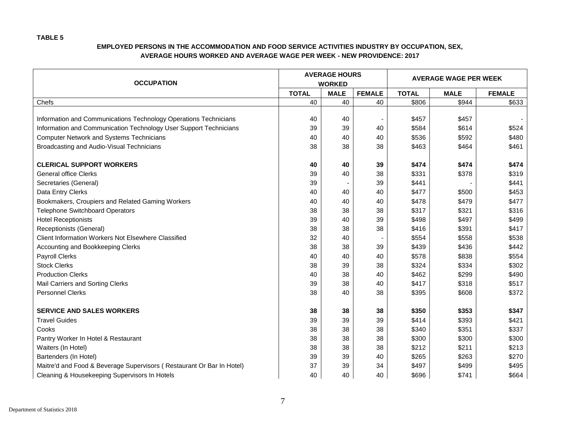| <b>OCCUPATION</b>                                                     |              | <b>AVERAGE HOURS</b><br><b>WORKED</b> |               | <b>AVERAGE WAGE PER WEEK</b> |             |               |  |
|-----------------------------------------------------------------------|--------------|---------------------------------------|---------------|------------------------------|-------------|---------------|--|
|                                                                       | <b>TOTAL</b> | <b>MALE</b>                           | <b>FEMALE</b> | <b>TOTAL</b>                 | <b>MALE</b> | <b>FEMALE</b> |  |
| Chefs                                                                 | 40           | 40                                    | 40            | \$806                        | \$944       | \$633         |  |
|                                                                       |              |                                       |               |                              |             |               |  |
| Information and Communications Technology Operations Technicians      | 40           | 40                                    |               | \$457                        | \$457       |               |  |
| Information and Communication Technology User Support Technicians     | 39           | 39                                    | 40            | \$584                        | \$614       | \$524         |  |
| <b>Computer Network and Systems Technicians</b>                       | 40           | 40                                    | 40            | \$536                        | \$592       | \$480         |  |
| Broadcasting and Audio-Visual Technicians                             | 38           | 38                                    | 38            | \$463                        | \$464       | \$461         |  |
| <b>CLERICAL SUPPORT WORKERS</b>                                       | 40           | 40                                    | 39            | \$474                        | \$474       | \$474         |  |
| <b>General office Clerks</b>                                          | 39           | 40                                    | 38            | \$331                        | \$378       | \$319         |  |
| Secretaries (General)                                                 | 39           |                                       | 39            | \$441                        |             | \$441         |  |
| Data Entry Clerks                                                     | 40           | 40                                    | 40            | \$477                        | \$500       | \$453         |  |
| Bookmakers, Croupiers and Related Gaming Workers                      | 40           | 40                                    | 40            | \$478                        | \$479       | \$477         |  |
| <b>Telephone Switchboard Operators</b>                                | 38           | 38                                    | 38            | \$317                        | \$321       | \$316         |  |
| <b>Hotel Receptionists</b>                                            | 39           | 40                                    | 39            | \$498                        | \$497       | \$499         |  |
| Receptionists (General)                                               | 38           | 38                                    | 38            | \$416                        | \$391       | \$417         |  |
| Client Information Workers Not Elsewhere Classified                   | 32           | 40                                    |               | \$554                        | \$558       | \$538         |  |
| Accounting and Bookkeeping Clerks                                     | 38           | 38                                    | 39            | \$439                        | \$436       | \$442         |  |
| Payroll Clerks                                                        | 40           | 40                                    | 40            | \$578                        | \$838       | \$554         |  |
| <b>Stock Clerks</b>                                                   | 38           | 39                                    | 38            | \$324                        | \$334       | \$302         |  |
| <b>Production Clerks</b>                                              | 40           | 38                                    | 40            | \$462                        | \$299       | \$490         |  |
| Mail Carriers and Sorting Clerks                                      | 39           | 38                                    | 40            | \$417                        | \$318       | \$517         |  |
| <b>Personnel Clerks</b>                                               | 38           | 40                                    | 38            | \$395                        | \$608       | \$372         |  |
| <b>SERVICE AND SALES WORKERS</b>                                      | 38           | 38                                    | 38            | \$350                        | \$353       | \$347         |  |
| <b>Travel Guides</b>                                                  | 39           | 39                                    | 39            | \$414                        | \$393       | \$421         |  |
| Cooks                                                                 | 38           | 38                                    | 38            | \$340                        | \$351       | \$337         |  |
| Pantry Worker In Hotel & Restaurant                                   | 38           | 38                                    | 38            | \$300                        | \$300       | \$300         |  |
| Waiters (In Hotel)                                                    | 38           | 38                                    | 38            | \$212                        | \$211       | \$213         |  |
| Bartenders (In Hotel)                                                 | 39           | 39                                    | 40            | \$265                        | \$263       | \$270         |  |
| Maitre'd and Food & Beverage Supervisors (Restaurant Or Bar In Hotel) | 37           | 39                                    | 34            | \$497                        | \$499       | \$495         |  |
| Cleaning & Housekeeping Supervisors In Hotels                         | 40           | 40                                    | 40            | \$696                        | \$741       | \$664         |  |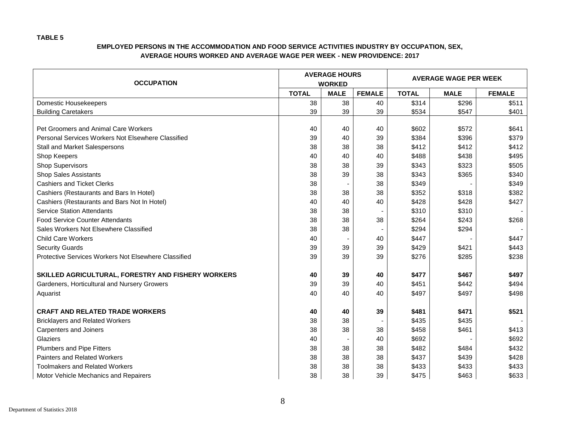| <b>OCCUPATION</b>                                    |              | <b>AVERAGE HOURS</b><br><b>WORKED</b> |               | <b>AVERAGE WAGE PER WEEK</b> |             |               |  |
|------------------------------------------------------|--------------|---------------------------------------|---------------|------------------------------|-------------|---------------|--|
|                                                      | <b>TOTAL</b> | <b>MALE</b>                           | <b>FEMALE</b> | <b>TOTAL</b>                 | <b>MALE</b> | <b>FEMALE</b> |  |
| Domestic Housekeepers                                | 38           | 38                                    | 40            | \$314                        | \$296       | \$511         |  |
| <b>Building Caretakers</b>                           | 39           | 39                                    | 39            | \$534                        | \$547       | \$401         |  |
|                                                      |              |                                       |               |                              |             |               |  |
| Pet Groomers and Animal Care Workers                 | 40           | 40                                    | 40            | \$602                        | \$572       | \$641         |  |
| Personal Services Workers Not Elsewhere Classified   | 39           | 40                                    | 39            | \$384                        | \$396       | \$379         |  |
| Stall and Market Salespersons                        | 38           | 38                                    | 38            | \$412                        | \$412       | \$412         |  |
| Shop Keepers                                         | 40           | 40                                    | 40            | \$488                        | \$438       | \$495         |  |
| <b>Shop Supervisors</b>                              | 38           | 38                                    | 39            | \$343                        | \$323       | \$505         |  |
| <b>Shop Sales Assistants</b>                         | 38           | 39                                    | 38            | \$343                        | \$365       | \$340         |  |
| <b>Cashiers and Ticket Clerks</b>                    | 38           |                                       | 38            | \$349                        |             | \$349         |  |
| Cashiers (Restaurants and Bars In Hotel)             | 38           | 38                                    | 38            | \$352                        | \$318       | \$382         |  |
| Cashiers (Restaurants and Bars Not In Hotel)         | 40           | 40                                    | 40            | \$428                        | \$428       | \$427         |  |
| <b>Service Station Attendants</b>                    | 38           | 38                                    |               | \$310                        | \$310       |               |  |
| <b>Food Service Counter Attendants</b>               | 38           | 38                                    | 38            | \$264                        | \$243       | \$268         |  |
| Sales Workers Not Elsewhere Classified               | 38           | 38                                    |               | \$294                        | \$294       |               |  |
| <b>Child Care Workers</b>                            | 40           |                                       | 40            | \$447                        |             | \$447         |  |
| <b>Security Guards</b>                               | 39           | 39                                    | 39            | \$429                        | \$421       | \$443         |  |
| Protective Services Workers Not Elsewhere Classified | 39           | 39                                    | 39            | \$276                        | \$285       | \$238         |  |
|                                                      |              |                                       |               |                              |             |               |  |
| SKILLED AGRICULTURAL, FORESTRY AND FISHERY WORKERS   | 40           | 39                                    | 40            | \$477                        | \$467       | \$497         |  |
| Gardeners, Horticultural and Nursery Growers         | 39           | 39                                    | 40            | \$451                        | \$442       | \$494         |  |
| Aquarist                                             | 40           | 40                                    | 40            | \$497                        | \$497       | \$498         |  |
|                                                      |              |                                       |               |                              |             |               |  |
| <b>CRAFT AND RELATED TRADE WORKERS</b>               | 40           | 40                                    | 39            | \$481                        | \$471       | \$521         |  |
| <b>Bricklayers and Related Workers</b>               | 38           | 38                                    |               | \$435                        | \$435       |               |  |
| <b>Carpenters and Joiners</b>                        | 38           | 38                                    | 38            | \$458                        | \$461       | \$413         |  |
| Glaziers                                             | 40           |                                       | 40            | \$692                        |             | \$692         |  |
| Plumbers and Pipe Fitters                            | 38           | 38                                    | 38            | \$482                        | \$484       | \$432         |  |
| <b>Painters and Related Workers</b>                  | 38           | 38                                    | 38            | \$437                        | \$439       | \$428         |  |
| <b>Toolmakers and Related Workers</b>                | 38           | 38                                    | 38            | \$433                        | \$433       | \$433         |  |
| Motor Vehicle Mechanics and Repairers                | 38           | 38                                    | 39            | \$475                        | \$463       | \$633         |  |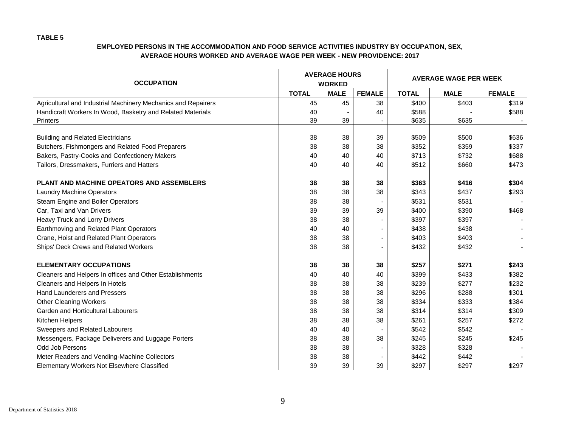| <b>OCCUPATION</b>                                             |              | <b>AVERAGE HOURS</b><br><b>WORKED</b> |               | <b>AVERAGE WAGE PER WEEK</b> |             |               |  |
|---------------------------------------------------------------|--------------|---------------------------------------|---------------|------------------------------|-------------|---------------|--|
|                                                               | <b>TOTAL</b> | <b>MALE</b>                           | <b>FEMALE</b> | <b>TOTAL</b>                 | <b>MALE</b> | <b>FEMALE</b> |  |
| Agricultural and Industrial Machinery Mechanics and Repairers | 45           | 45                                    | 38            | \$400                        | \$403       | \$319         |  |
| Handicraft Workers In Wood, Basketry and Related Materials    | 40           |                                       | 40            | \$588                        |             | \$588         |  |
| <b>Printers</b>                                               | 39           | 39                                    |               | \$635                        | \$635       |               |  |
| <b>Building and Related Electricians</b>                      | 38           | 38                                    | 39            | \$509                        | \$500       | \$636         |  |
| Butchers, Fishmongers and Related Food Preparers              | 38           | 38                                    | 38            | \$352                        | \$359       | \$337         |  |
| Bakers, Pastry-Cooks and Confectionery Makers                 | 40           | 40                                    | 40            | \$713                        | \$732       | \$688         |  |
| Tailors, Dressmakers, Furriers and Hatters                    | 40           | 40                                    | 40            | \$512                        | \$660       | \$473         |  |
|                                                               |              |                                       |               |                              |             |               |  |
| PLANT AND MACHINE OPEATORS AND ASSEMBLERS                     | 38           | 38                                    | 38            | \$363                        | \$416       | \$304         |  |
| <b>Laundry Machine Operators</b>                              | 38           | 38                                    | 38            | \$343                        | \$437       | \$293         |  |
| Steam Engine and Boiler Operators                             | 38           | 38                                    |               | \$531                        | \$531       |               |  |
| Car, Taxi and Van Drivers                                     | 39           | 39                                    | 39            | \$400                        | \$390       | \$468         |  |
| Heavy Truck and Lorry Drivers                                 | 38           | 38                                    |               | \$397                        | \$397       |               |  |
| Earthmoving and Related Plant Operators                       | 40           | 40                                    |               | \$438                        | \$438       |               |  |
| Crane, Hoist and Related Plant Operators                      | 38           | 38                                    | ٠             | \$403                        | \$403       |               |  |
| Ships' Deck Crews and Related Workers                         | 38           | 38                                    | ٠             | \$432                        | \$432       |               |  |
| <b>ELEMENTARY OCCUPATIONS</b>                                 | 38           | 38                                    | 38            | \$257                        | \$271       | \$243         |  |
| Cleaners and Helpers In offices and Other Establishments      | 40           | 40                                    | 40            | \$399                        | \$433       | \$382         |  |
| Cleaners and Helpers In Hotels                                | 38           | 38                                    | 38            | \$239                        | \$277       | \$232         |  |
| Hand Launderers and Pressers                                  | 38           | 38                                    | 38            | \$296                        | \$288       | \$301         |  |
| <b>Other Cleaning Workers</b>                                 | 38           | 38                                    | 38            | \$334                        | \$333       | \$384         |  |
| Garden and Horticultural Labourers                            | 38           | 38                                    | 38            | \$314                        | \$314       | \$309         |  |
| Kitchen Helpers                                               | 38           | 38                                    | 38            | \$261                        | \$257       | \$272         |  |
| Sweepers and Related Labourers                                | 40           | 40                                    |               | \$542                        | \$542       |               |  |
| Messengers, Package Deliverers and Luggage Porters            | 38           | 38                                    | 38            | \$245                        | \$245       | \$245         |  |
| Odd Job Persons                                               | 38           | 38                                    |               | \$328                        | \$328       |               |  |
| Meter Readers and Vending-Machine Collectors                  | 38           | 38                                    |               | \$442                        | \$442       |               |  |
| Elementary Workers Not Elsewhere Classified                   | 39           | 39                                    | 39            | \$297                        | \$297       | \$297         |  |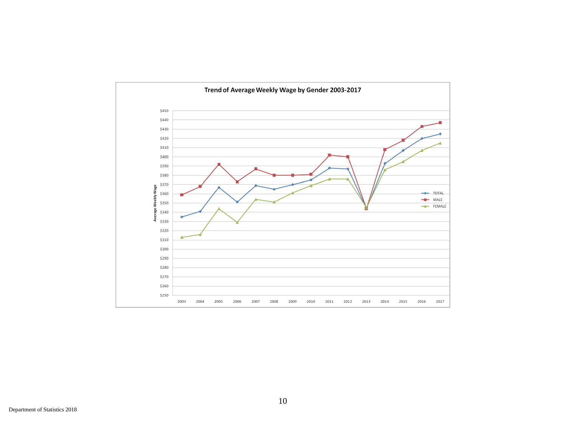